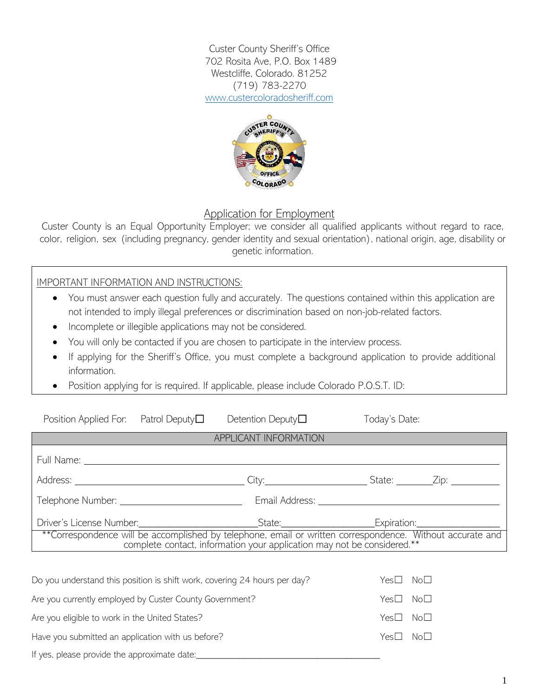Custer County Sheriff's Office 702 Rosita Ave, P.O. Box 1489 Westcliffe, Colorado. 81252 (719) 783-2270 [www.custercoloradosheriff.com](http://www.custercoloradosheriff.com/)



## Application for Employment

Custer County is an Equal Opportunity Employer; we consider all qualified applicants without regard to race, color, religion, sex (including pregnancy, gender identity and sexual orientation), national origin, age, disability or genetic information.

IMPORTANT INFORMATION AND INSTRUCTIONS:

- You must answer each question fully and accurately. The questions contained within this application are not intended to imply illegal preferences or discrimination based on non-job-related factors.
- Incomplete or illegible applications may not be considered.
- You will only be contacted if you are chosen to participate in the interview process.
- If applying for the Sheriff's Office, you must complete a background application to provide additional information.
- Position applying for is required. If applicable, please include Colorado P.O.S.T. ID:

| Position Applied For: Patrol Deputy $\Box$                                                                                                                                           |  | Detention Deputy $\Box$ | Today's Date: |                 |  |
|--------------------------------------------------------------------------------------------------------------------------------------------------------------------------------------|--|-------------------------|---------------|-----------------|--|
|                                                                                                                                                                                      |  | APPLICANT INFORMATION   |               |                 |  |
|                                                                                                                                                                                      |  |                         |               |                 |  |
|                                                                                                                                                                                      |  |                         |               |                 |  |
|                                                                                                                                                                                      |  |                         |               |                 |  |
|                                                                                                                                                                                      |  |                         |               |                 |  |
| **Correspondence will be accomplished by telephone, email or written correspondence. Without accurate and<br>complete contact, information your application may not be considered.** |  |                         |               |                 |  |
|                                                                                                                                                                                      |  |                         |               |                 |  |
| Do you understand this position is shift work, covering 24 hours per day?                                                                                                            |  |                         | Yes∐          | No∐             |  |
| Are you currently employed by Custer County Government?                                                                                                                              |  |                         | Yes∐          | No <sub>1</sub> |  |

Are you eligible to work in the United States? Yes□ No□ Have you submitted an application with us before?  $\blacksquare$  Yes□ No□ If yes, please provide the approximate date: